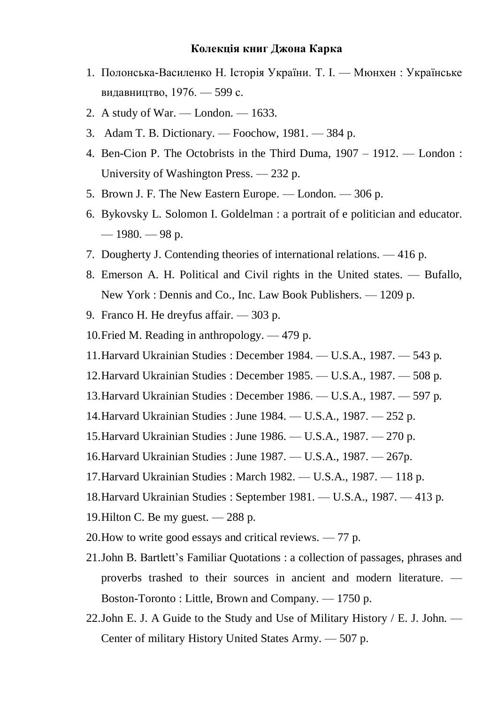## **Колекція книг Джона Карка**

- 1. Полонська-Василенко Н. Історія України. Т. І. Мюнхен : Українське видавництво, 1976. — 599 с.
- 2. A study of War. London. 1633.
- 3. Adam T. B. Dictionary. Foochow, 1981. 384 p.
- 4. Ben-Cion P. The Octobrists in the Third Duma, 1907 1912. London : University of Washington Press. — 232 p.
- 5. Brown J. F. The New Eastern Europe. London. 306 p.
- 6. Bykovsky L. Solomon I. Goldelman : a portrait of e politician and educator.  $-1980 - 98 p$ .
- 7. Dougherty J. Contending theories of international relations. 416 p.
- 8. Emerson A. H. Political and Civil rights in the United states. Bufallo, New York : Dennis and Co., Inc. Law Book Publishers. — 1209 p.
- 9. Franco H. He dreyfus affair. 303 p.
- 10.Fried M. Reading in anthropology. 479 p.
- 11.Harvard Ukrainian Studies : December 1984. U.S.A., 1987. 543 p.
- 12.Harvard Ukrainian Studies : December 1985. U.S.A., 1987. 508 p.
- 13.Harvard Ukrainian Studies : December 1986. U.S.A., 1987. 597 p.
- 14.Harvard Ukrainian Studies : June 1984. U.S.A., 1987. 252 p.
- 15.Harvard Ukrainian Studies : June 1986. U.S.A., 1987. 270 p.
- 16.Harvard Ukrainian Studies : June 1987. U.S.A., 1987. 267p.
- 17.Harvard Ukrainian Studies : March 1982. U.S.A., 1987. 118 p.
- 18.Harvard Ukrainian Studies : September 1981. U.S.A., 1987. 413 p.
- 19.Hilton C. Be my guest. 288 p.
- 20.How to write good essays and critical reviews. 77 p.
- 21.John B. Bartlett's Familiar Quotations : a collection of passages, phrases and proverbs trashed to their sources in ancient and modern literature. — Boston-Toronto : Little, Brown and Company. — 1750 p.
- 22.John E. J. A Guide to the Study and Use of Military History / E. J. John. Center of military History United States Army. — 507 p.